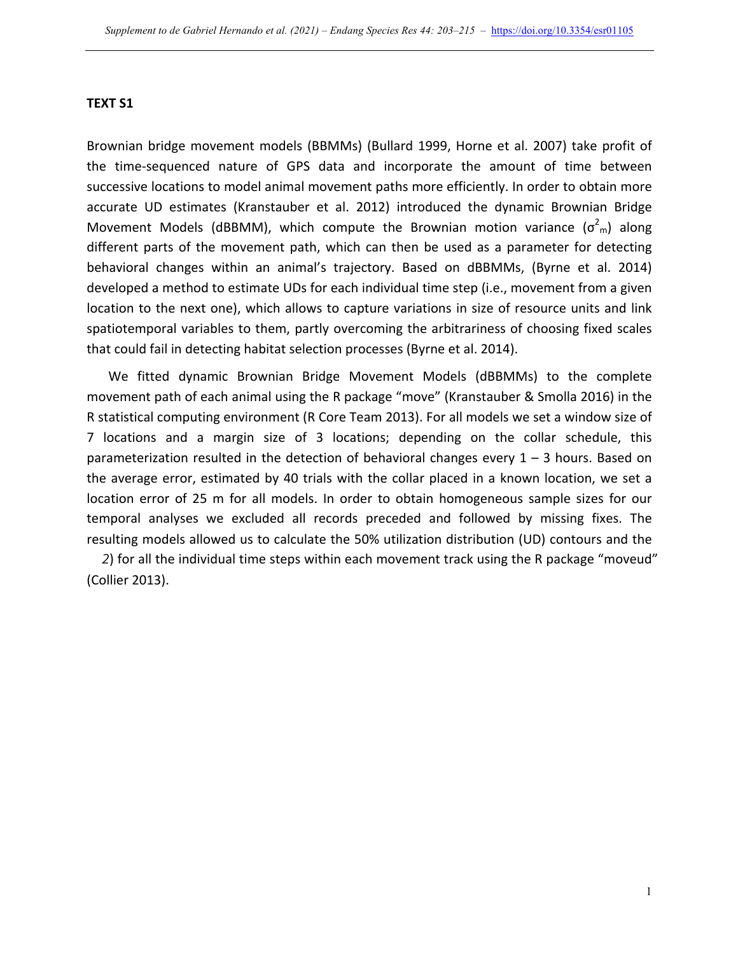## **TEXT S1**

Brownian bridge movement models (BBMMs) (Bullard 1999, Horne et al. 2007) take profit of the time-sequenced nature of GPS data and incorporate the amount of time between successive locations to model animal movement paths more efficiently. In order to obtain more accurate UD estimates (Kranstauber et al. 2012) introduced the dynamic Brownian Bridge Movement Models (dBBMM), which compute the Brownian motion variance  $(\sigma_{m}^2)$  along different parts of the movement path, which can then be used as a parameter for detecting behavioral changes within an animal's trajectory. Based on dBBMMs, (Byrne et al. 2014) developed a method to estimate UDs for each individual time step (i.e., movement from a given location to the next one), which allows to capture variations in size of resource units and link spatiotemporal variables to them, partly overcoming the arbitrariness of choosing fixed scales that could fail in detecting habitat selection processes (Byrne et al. 2014).

We fitted dynamic Brownian Bridge Movement Models (dBBMMs) to the complete movement path of each animal using the R package "move" (Kranstauber & Smolla 2016) in the R statistical computing environment (R Core Team 2013). For all models we set a window size of 7 locations and a margin size of 3 locations; depending on the collar schedule, this parameterization resulted in the detection of behavioral changes every  $1 - 3$  hours. Based on the average error, estimated by 40 trials with the collar placed in a known location, we set a location error of 25 m for all models. In order to obtain homogeneous sample sizes for our temporal analyses we excluded all records preceded and followed by missing fixes. The resulting models allowed us to calculate the 50% utilization distribution (UD) contours and the

2) for all the individual time steps within each movement track using the R package "moveud" (Collier 2013).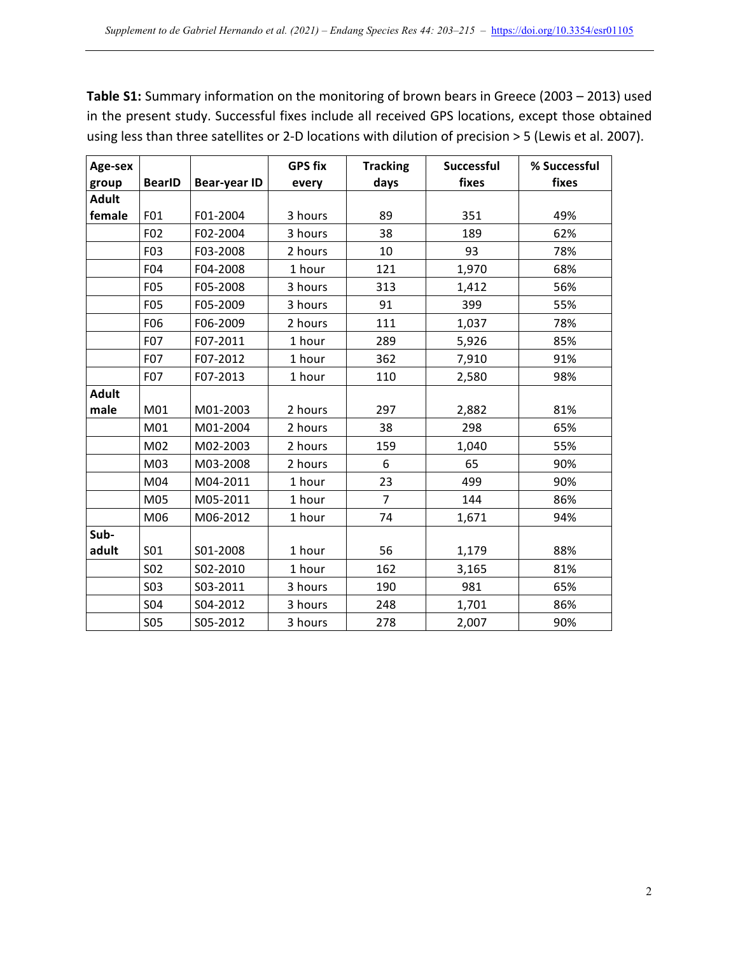**Table S1:** Summary information on the monitoring of brown bears in Greece (2003 – 2013) used in the present study. Successful fixes include all received GPS locations, except those obtained using less than three satellites or 2-D locations with dilution of precision > 5 (Lewis et al. 2007).

| Age-sex      |                 |                     | <b>GPS fix</b> | <b>Tracking</b> | Successful | % Successful |  |  |
|--------------|-----------------|---------------------|----------------|-----------------|------------|--------------|--|--|
| group        | <b>BearID</b>   | <b>Bear-year ID</b> | every          | days            | fixes      | fixes        |  |  |
| <b>Adult</b> |                 |                     |                |                 |            |              |  |  |
| female       | F01             | F01-2004            | 3 hours        | 89              | 351        | 49%          |  |  |
|              | F02             | F02-2004            | 3 hours        | 38              | 189        | 62%          |  |  |
|              | F03             | F03-2008            | 2 hours        | 10              | 93         | 78%          |  |  |
|              | F04             | F04-2008            | 1 hour         | 121             | 1,970      | 68%          |  |  |
|              | F05             | F05-2008            | 3 hours        | 313             | 1,412      | 56%          |  |  |
|              | F05             | F05-2009            | 3 hours        | 91              | 399        | 55%          |  |  |
|              | F <sub>06</sub> | F06-2009            | 2 hours        | 111             | 1,037      | 78%          |  |  |
|              | F07             | F07-2011            | 1 hour         | 289             | 5,926      | 85%          |  |  |
|              | F07             | F07-2012            | 1 hour         | 362             | 7,910      | 91%          |  |  |
|              | F07             | F07-2013            | 1 hour         | 110             | 2,580      | 98%          |  |  |
| <b>Adult</b> |                 |                     |                |                 |            |              |  |  |
| male         | M01             | M01-2003            | 2 hours        | 297             | 2,882      | 81%          |  |  |
|              | M01             | M01-2004            | 2 hours        | 38              | 298        | 65%          |  |  |
|              | M02             | M02-2003            | 2 hours        | 159             | 1,040      | 55%          |  |  |
|              | M03             | M03-2008            | 2 hours        | 6               | 65         | 90%          |  |  |
|              | M04             | M04-2011            | 1 hour         | 23              | 499        | 90%          |  |  |
|              | M05             | M05-2011            | 1 hour         | 7               | 144        | 86%          |  |  |
|              | M06             | M06-2012            | 1 hour         | 74              | 1,671      | 94%          |  |  |
| Sub-         |                 |                     |                |                 |            |              |  |  |
| adult        | <b>SO1</b>      | S01-2008            | 1 hour         | 56              | 1,179      | 88%          |  |  |
|              | <b>S02</b>      | S02-2010            | 1 hour         | 162             | 3,165      | 81%          |  |  |
|              | <b>S03</b>      | S03-2011            | 3 hours        | 190             | 981        | 65%          |  |  |
|              | <b>SO4</b>      | S04-2012            | 3 hours        | 248             | 1,701      | 86%          |  |  |
|              | <b>S05</b>      | S05-2012            | 3 hours        | 278             | 2,007      | 90%          |  |  |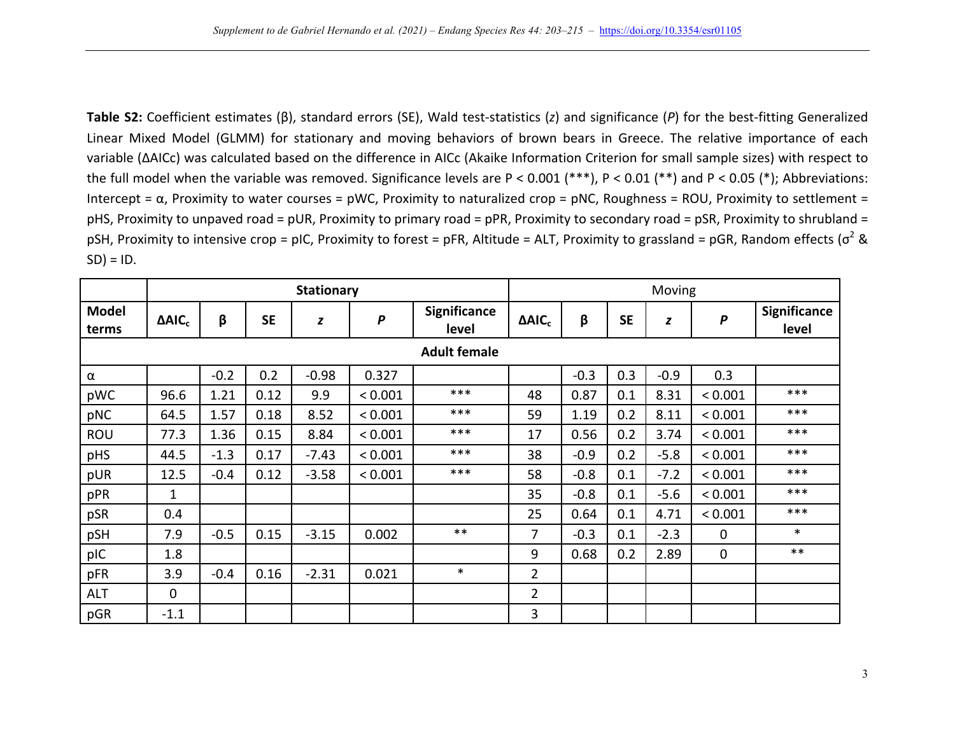Table S2: Coefficient estimates (β), standard errors (SE), Wald test-statistics (z) and significance (P) for the best-fitting Generalized Linear Mixed Model (GLMM) for stationary and moving behaviors of brown bears in Greece. The relative importance of each variable (ΔAICc) was calculated based on the difference in AICc (Akaike Information Criterion for small sample sizes) with respect to the full model when the variable was removed. Significance levels are  $P < 0.001$  (\*\*\*),  $P < 0.01$  (\*\*) and  $P < 0.05$  (\*); Abbreviations: Intercept =  $\alpha$ , Proximity to water courses = pWC, Proximity to naturalized crop = pNC, Roughness = ROU, Proximity to settlement = pHS, Proximity to unpaved road = pUR, Proximity to primary road = pPR, Proximity to secondary road = pSR, Proximity to shrubland = pSH, Proximity to intensive crop = pIC, Proximity to forest = pFR, Altitude = ALT, Proximity to grassland = pGR, Random effects  $\sigma^2$  &  $SD$ ) = ID.

|                       |                |        |           | <b>Stationary</b> |                  |                              | Moving         |        |           |        |         |                              |  |
|-----------------------|----------------|--------|-----------|-------------------|------------------|------------------------------|----------------|--------|-----------|--------|---------|------------------------------|--|
| <b>Model</b><br>terms | $\Delta AIC_c$ | β      | <b>SE</b> | $\pmb{Z}$         | $\boldsymbol{P}$ | <b>Significance</b><br>level | $\Delta AIC_c$ | β      | <b>SE</b> | z      | P       | <b>Significance</b><br>level |  |
| <b>Adult female</b>   |                |        |           |                   |                  |                              |                |        |           |        |         |                              |  |
| $\alpha$              |                | $-0.2$ | 0.2       | $-0.98$           | 0.327            |                              |                | $-0.3$ | 0.3       | $-0.9$ | 0.3     |                              |  |
| pWC                   | 96.6           | 1.21   | 0.12      | 9.9               | < 0.001          | ***                          | 48             | 0.87   | 0.1       | 8.31   | < 0.001 | ***                          |  |
| pNC                   | 64.5           | 1.57   | 0.18      | 8.52              | < 0.001          | ***                          | 59             | 1.19   | 0.2       | 8.11   | < 0.001 | ***                          |  |
| ROU                   | 77.3           | 1.36   | 0.15      | 8.84              | < 0.001          | ***                          | 17             | 0.56   | 0.2       | 3.74   | < 0.001 | ***                          |  |
| pHS                   | 44.5           | $-1.3$ | 0.17      | $-7.43$           | < 0.001          | ***                          | 38             | $-0.9$ | 0.2       | $-5.8$ | < 0.001 | ***                          |  |
| pUR                   | 12.5           | $-0.4$ | 0.12      | $-3.58$           | < 0.001          | ***                          | 58             | $-0.8$ | 0.1       | $-7.2$ | < 0.001 | ***                          |  |
| pPR                   | 1              |        |           |                   |                  |                              | 35             | $-0.8$ | 0.1       | $-5.6$ | < 0.001 | ***                          |  |
| pSR                   | 0.4            |        |           |                   |                  |                              | 25             | 0.64   | 0.1       | 4.71   | < 0.001 | ***                          |  |
| pSH                   | 7.9            | $-0.5$ | 0.15      | $-3.15$           | 0.002            | $***$                        | $\overline{7}$ | $-0.3$ | 0.1       | $-2.3$ | 0       | $\ast$                       |  |
| pIC                   | 1.8            |        |           |                   |                  |                              | 9              | 0.68   | 0.2       | 2.89   | 0       | $***$                        |  |
| pFR                   | 3.9            | $-0.4$ | 0.16      | $-2.31$           | 0.021            | $\ast$                       | $\overline{2}$ |        |           |        |         |                              |  |
| <b>ALT</b>            | $\mathbf 0$    |        |           |                   |                  |                              | $\overline{2}$ |        |           |        |         |                              |  |
| pGR                   | $-1.1$         |        |           |                   |                  |                              | 3              |        |           |        |         |                              |  |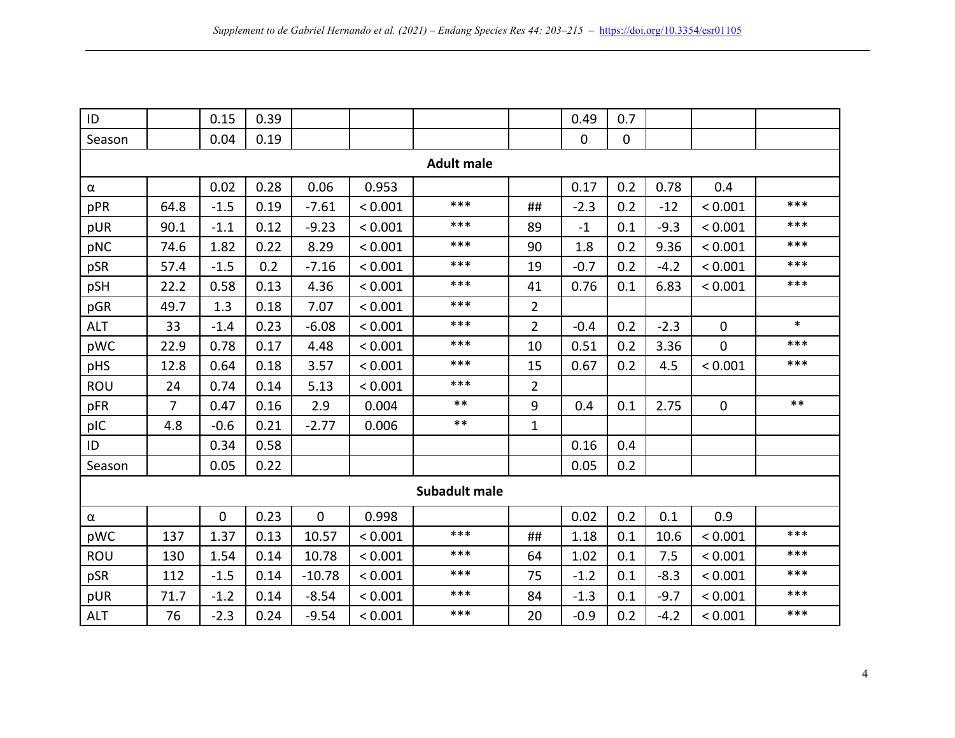| ID                   |      | 0.15        | 0.39 |             |         |                   |                | 0.49        | 0.7         |        |             |        |
|----------------------|------|-------------|------|-------------|---------|-------------------|----------------|-------------|-------------|--------|-------------|--------|
| Season               |      | 0.04        | 0.19 |             |         |                   |                | $\mathbf 0$ | $\mathbf 0$ |        |             |        |
|                      |      |             |      |             |         | <b>Adult male</b> |                |             |             |        |             |        |
| $\alpha$             |      | 0.02        | 0.28 | 0.06        | 0.953   |                   |                | 0.17        | 0.2         | 0.78   | 0.4         |        |
| pPR                  | 64.8 | $-1.5$      | 0.19 | $-7.61$     | < 0.001 | ***               | ##             | $-2.3$      | 0.2         | $-12$  | < 0.001     | ***    |
| pUR                  | 90.1 | $-1.1$      | 0.12 | $-9.23$     | < 0.001 | ***               | 89             | $-1$        | 0.1         | $-9.3$ | < 0.001     | ***    |
| pNC                  | 74.6 | 1.82        | 0.22 | 8.29        | < 0.001 | ***               | 90             | 1.8         | 0.2         | 9.36   | < 0.001     | ***    |
| pSR                  | 57.4 | $-1.5$      | 0.2  | $-7.16$     | < 0.001 | ***               | 19             | $-0.7$      | 0.2         | $-4.2$ | < 0.001     | ***    |
| pSH                  | 22.2 | 0.58        | 0.13 | 4.36        | < 0.001 | ***               | 41             | 0.76        | 0.1         | 6.83   | < 0.001     | $***$  |
| pGR                  | 49.7 | 1.3         | 0.18 | 7.07        | < 0.001 | ***               | $\overline{2}$ |             |             |        |             |        |
| <b>ALT</b>           | 33   | $-1.4$      | 0.23 | $-6.08$     | < 0.001 | $***$             | $\overline{2}$ | $-0.4$      | 0.2         | $-2.3$ | $\mathbf 0$ | $\ast$ |
| pWC                  | 22.9 | 0.78        | 0.17 | 4.48        | < 0.001 | ***               | 10             | 0.51        | 0.2         | 3.36   | $\mathbf 0$ | ***    |
| pHS                  | 12.8 | 0.64        | 0.18 | 3.57        | < 0.001 | ***               | 15             | 0.67        | 0.2         | 4.5    | < 0.001     | ***    |
| <b>ROU</b>           | 24   | 0.74        | 0.14 | 5.13        | < 0.001 | ***               | $\overline{2}$ |             |             |        |             |        |
| pFR                  | 7    | 0.47        | 0.16 | 2.9         | 0.004   | $***$             | 9              | 0.4         | 0.1         | 2.75   | $\mathbf 0$ | $***$  |
| pIC                  | 4.8  | $-0.6$      | 0.21 | $-2.77$     | 0.006   | $***$             | $\mathbf{1}$   |             |             |        |             |        |
| ID                   |      | 0.34        | 0.58 |             |         |                   |                | 0.16        | 0.4         |        |             |        |
| Season               |      | 0.05        | 0.22 |             |         |                   |                | 0.05        | 0.2         |        |             |        |
| <b>Subadult male</b> |      |             |      |             |         |                   |                |             |             |        |             |        |
| $\alpha$             |      | $\mathbf 0$ | 0.23 | $\mathbf 0$ | 0.998   |                   |                | 0.02        | 0.2         | 0.1    | 0.9         |        |
| pWC                  | 137  | 1.37        | 0.13 | 10.57       | < 0.001 | ***               | ##             | 1.18        | 0.1         | 10.6   | < 0.001     | ***    |
| <b>ROU</b>           | 130  | 1.54        | 0.14 | 10.78       | < 0.001 | ***               | 64             | 1.02        | 0.1         | 7.5    | < 0.001     | ***    |
| pSR                  | 112  | $-1.5$      | 0.14 | $-10.78$    | < 0.001 | $***$             | 75             | $-1.2$      | 0.1         | $-8.3$ | < 0.001     | ***    |
| pUR                  | 71.7 | $-1.2$      | 0.14 | $-8.54$     | < 0.001 | ***               | 84             | $-1.3$      | 0.1         | $-9.7$ | < 0.001     | ***    |
| <b>ALT</b>           | 76   | $-2.3$      | 0.24 | $-9.54$     | < 0.001 | ***               | 20             | $-0.9$      | 0.2         | $-4.2$ | < 0.001     | ***    |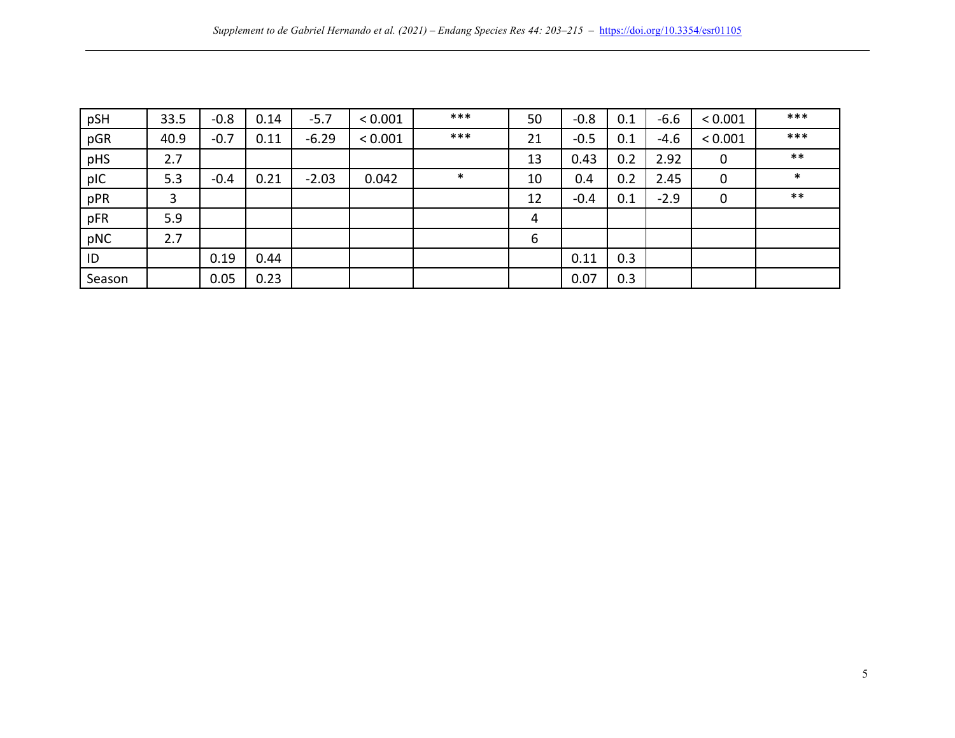| pSH    | 33.5 | $-0.8$ | 0.14 | $-5.7$  | < 0.001 | ***    | 50 | $-0.8$ | 0.1 | $-6.6$ | < 0.001     | ***    |
|--------|------|--------|------|---------|---------|--------|----|--------|-----|--------|-------------|--------|
| pGR    | 40.9 | $-0.7$ | 0.11 | $-6.29$ | < 0.001 | ***    | 21 | $-0.5$ | 0.1 | $-4.6$ | < 0.001     | ***    |
| pHS    | 2.7  |        |      |         |         |        | 13 | 0.43   | 0.2 | 2.92   | $\mathbf 0$ | $***$  |
| pIC    | 5.3  | $-0.4$ | 0.21 | $-2.03$ | 0.042   | $\ast$ | 10 | 0.4    | 0.2 | 2.45   | $\mathbf 0$ | $\ast$ |
| pPR    | 3    |        |      |         |         |        | 12 | $-0.4$ | 0.1 | $-2.9$ | $\mathbf 0$ | $***$  |
| pFR    | 5.9  |        |      |         |         |        | 4  |        |     |        |             |        |
| pNC    | 2.7  |        |      |         |         |        | 6  |        |     |        |             |        |
| ID     |      | 0.19   | 0.44 |         |         |        |    | 0.11   | 0.3 |        |             |        |
| Season |      | 0.05   | 0.23 |         |         |        |    | 0.07   | 0.3 |        |             |        |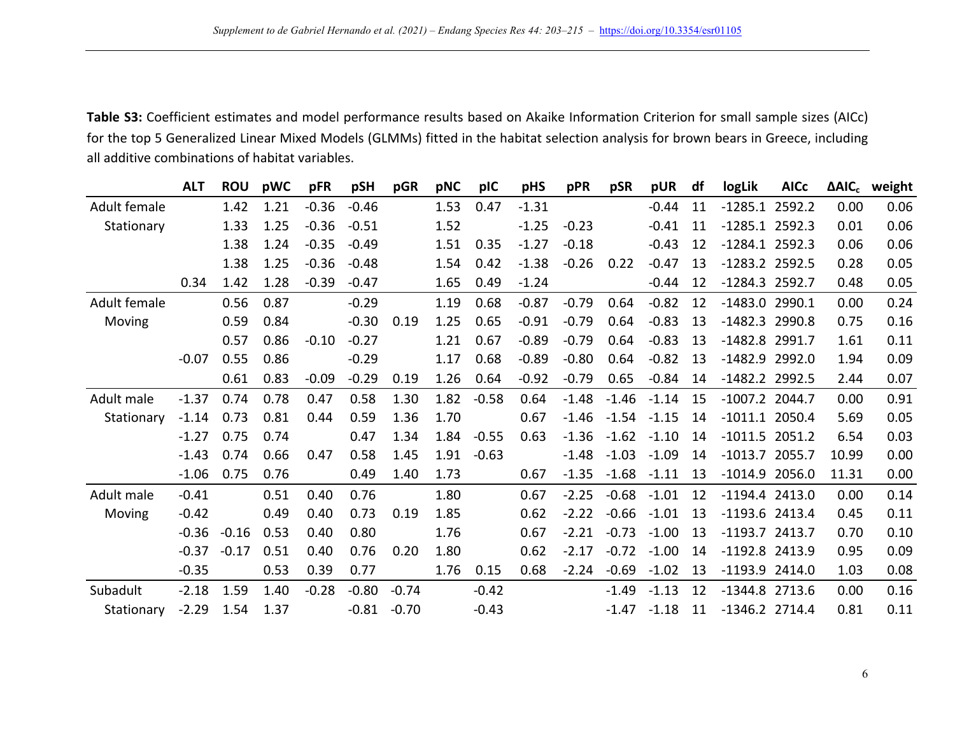Table S3: Coefficient estimates and model performance results based on Akaike Information Criterion for small sample sizes (AICc) for the top 5 Generalized Linear Mixed Models (GLMMs) fitted in the habitat selection analysis for brown bears in Greece, including all additive combinations of habitat variables.

|              | <b>ALT</b> | <b>ROU</b> | pWC  | pFR     | pSH     | pGR     | pNC  | pIC     | pHS     | pPR     | pSR     | pUR     | df | logLik           | <b>AICc</b> |       | ΔAIC <sub>c</sub> weight |
|--------------|------------|------------|------|---------|---------|---------|------|---------|---------|---------|---------|---------|----|------------------|-------------|-------|--------------------------|
| Adult female |            | 1.42       | 1.21 | $-0.36$ | $-0.46$ |         | 1.53 | 0.47    | $-1.31$ |         |         | $-0.44$ | 11 | $-1285.1$        | 2592.2      | 0.00  | 0.06                     |
| Stationary   |            | 1.33       | 1.25 | $-0.36$ | $-0.51$ |         | 1.52 |         | $-1.25$ | $-0.23$ |         | $-0.41$ | 11 | $-1285.1$ 2592.3 |             | 0.01  | 0.06                     |
|              |            | 1.38       | 1.24 | $-0.35$ | $-0.49$ |         | 1.51 | 0.35    | $-1.27$ | $-0.18$ |         | $-0.43$ | 12 | $-1284.1$ 2592.3 |             | 0.06  | 0.06                     |
|              |            | 1.38       | 1.25 | $-0.36$ | $-0.48$ |         | 1.54 | 0.42    | $-1.38$ | $-0.26$ | 0.22    | $-0.47$ | 13 | -1283.2 2592.5   |             | 0.28  | 0.05                     |
|              | 0.34       | 1.42       | 1.28 | $-0.39$ | $-0.47$ |         | 1.65 | 0.49    | $-1.24$ |         |         | $-0.44$ | 12 | -1284.3 2592.7   |             | 0.48  | 0.05                     |
| Adult female |            | 0.56       | 0.87 |         | $-0.29$ |         | 1.19 | 0.68    | $-0.87$ | $-0.79$ | 0.64    | $-0.82$ | 12 | $-1483.0$ 2990.1 |             | 0.00  | 0.24                     |
| Moving       |            | 0.59       | 0.84 |         | $-0.30$ | 0.19    | 1.25 | 0.65    | $-0.91$ | $-0.79$ | 0.64    | $-0.83$ | 13 | $-1482.3$ 2990.8 |             | 0.75  | 0.16                     |
|              |            | 0.57       | 0.86 | $-0.10$ | $-0.27$ |         | 1.21 | 0.67    | $-0.89$ | $-0.79$ | 0.64    | $-0.83$ | 13 | -1482.8 2991.7   |             | 1.61  | 0.11                     |
|              | $-0.07$    | 0.55       | 0.86 |         | $-0.29$ |         | 1.17 | 0.68    | $-0.89$ | $-0.80$ | 0.64    | $-0.82$ | 13 | $-1482.9$        | 2992.0      | 1.94  | 0.09                     |
|              |            | 0.61       | 0.83 | $-0.09$ | $-0.29$ | 0.19    | 1.26 | 0.64    | $-0.92$ | $-0.79$ | 0.65    | $-0.84$ | 14 | $-1482.2$ 2992.5 |             | 2.44  | 0.07                     |
| Adult male   | $-1.37$    | 0.74       | 0.78 | 0.47    | 0.58    | 1.30    | 1.82 | $-0.58$ | 0.64    | $-1.48$ | $-1.46$ | $-1.14$ | 15 | $-1007.2$ 2044.7 |             | 0.00  | 0.91                     |
| Stationary   | $-1.14$    | 0.73       | 0.81 | 0.44    | 0.59    | 1.36    | 1.70 |         | 0.67    | $-1.46$ | $-1.54$ | $-1.15$ | 14 | $-1011.1$ 2050.4 |             | 5.69  | 0.05                     |
|              | $-1.27$    | 0.75       | 0.74 |         | 0.47    | 1.34    | 1.84 | $-0.55$ | 0.63    | $-1.36$ | $-1.62$ | $-1.10$ | 14 | $-1011.5$ 2051.2 |             | 6.54  | 0.03                     |
|              | $-1.43$    | 0.74       | 0.66 | 0.47    | 0.58    | 1.45    | 1.91 | $-0.63$ |         | $-1.48$ | $-1.03$ | $-1.09$ | 14 | $-1013.7$ 2055.7 |             | 10.99 | 0.00                     |
|              | $-1.06$    | 0.75       | 0.76 |         | 0.49    | 1.40    | 1.73 |         | 0.67    | $-1.35$ | $-1.68$ | $-1.11$ | 13 | $-1014.9$ 2056.0 |             | 11.31 | 0.00                     |
| Adult male   | $-0.41$    |            | 0.51 | 0.40    | 0.76    |         | 1.80 |         | 0.67    | $-2.25$ | $-0.68$ | $-1.01$ | 12 | $-1194.4$ 2413.0 |             | 0.00  | 0.14                     |
| Moving       | $-0.42$    |            | 0.49 | 0.40    | 0.73    | 0.19    | 1.85 |         | 0.62    | $-2.22$ | $-0.66$ | $-1.01$ | 13 | $-1193.6$ 2413.4 |             | 0.45  | 0.11                     |
|              | $-0.36$    | $-0.16$    | 0.53 | 0.40    | 0.80    |         | 1.76 |         | 0.67    | $-2.21$ | $-0.73$ | $-1.00$ | 13 | $-1193.7$ 2413.7 |             | 0.70  | 0.10                     |
|              | $-0.37$    | $-0.17$    | 0.51 | 0.40    | 0.76    | 0.20    | 1.80 |         | 0.62    | $-2.17$ | $-0.72$ | $-1.00$ | 14 | -1192.8 2413.9   |             | 0.95  | 0.09                     |
|              | $-0.35$    |            | 0.53 | 0.39    | 0.77    |         | 1.76 | 0.15    | 0.68    | $-2.24$ | $-0.69$ | $-1.02$ | 13 | $-1193.9$ 2414.0 |             | 1.03  | 0.08                     |
| Subadult     | $-2.18$    | 1.59       | 1.40 | $-0.28$ | $-0.80$ | $-0.74$ |      | $-0.42$ |         |         | $-1.49$ | $-1.13$ | 12 | $-1344.8$ 2713.6 |             | 0.00  | 0.16                     |
| Stationary   | $-2.29$    | 1.54       | 1.37 |         | $-0.81$ | $-0.70$ |      | $-0.43$ |         |         | $-1.47$ | $-1.18$ | 11 | $-1346.2$ 2714.4 |             | 0.81  | 0.11                     |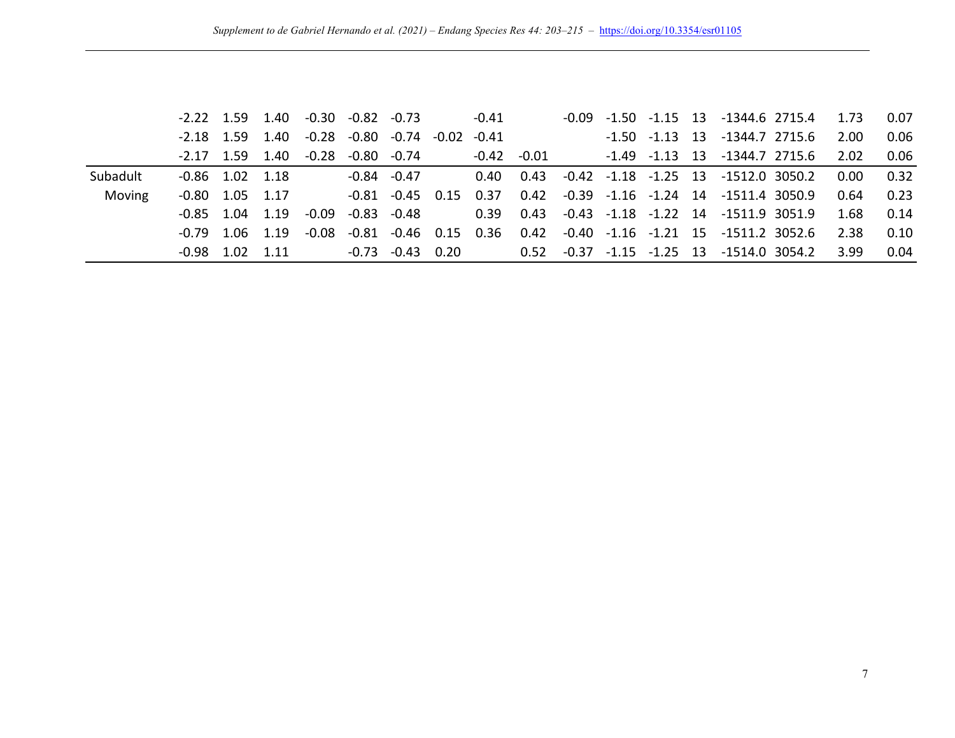|          |                   |                   |                   | $-2.22$ 1.59 1.40 $-0.30$ $-0.82$ $-0.73$ |                        | $-0.41$         |  |                    | $-0.09$ $-1.50$ $-1.15$ 13 $-1344.6$ 2715.4 1.73              |           | 0.07 |
|----------|-------------------|-------------------|-------------------|-------------------------------------------|------------------------|-----------------|--|--------------------|---------------------------------------------------------------|-----------|------|
|          | $-2.18$ 1.59      |                   |                   |                                           |                        |                 |  | $-1.50$ $-1.13$ 13 | -1344.7 2715.6                                                | 2.00      | 0.06 |
|          |                   |                   |                   | $-2.17$ 1.59 1.40 $-0.28$ $-0.80$ $-0.74$ |                        | $-0.42$ $-0.01$ |  |                    | -1.49 -1.13 13 -1344.7 2715.6                                 | 2.02      | 0.06 |
| Subadult | $-0.86$ 1.02 1.18 |                   |                   |                                           | -0.84 -0.47            |                 |  |                    | $0.40$ $0.43$ $-0.42$ $-1.18$ $-1.25$ 13 $-1512.0$ 3050.2     | 0.00 0.32 |      |
| Moving   |                   | $-0.80$ 1.05 1.17 |                   |                                           | $-0.81$ $-0.45$ $0.15$ | 0.37            |  |                    | 0.42 -0.39 -1.16 -1.24 14 -1511.4 3050.9                      | 0.64      | 0.23 |
|          |                   |                   | $-0.85$ 1.04 1.19 | -0.09                                     | $-0.83 - 0.48$         |                 |  |                    | $0.39$ $0.43$ $-0.43$ $-1.18$ $-1.22$ 14 $-1511.9$ 3051.9     | 1.68      | 0.14 |
|          |                   |                   | $-0.79$ 1.06 1.19 | -0.08                                     | $-0.81 - 0.46$ 0.15    |                 |  |                    | $0.36$ $0.42$ $-0.40$ $-1.16$ $-1.21$ $15$ $-1511.2$ $3052.6$ | 2.38      | 0.10 |
|          |                   | $-0.98$ 1.02 1.11 |                   |                                           | $-0.73$ $-0.43$ $0.20$ |                 |  |                    |                                                               | 3.99      | 0.04 |